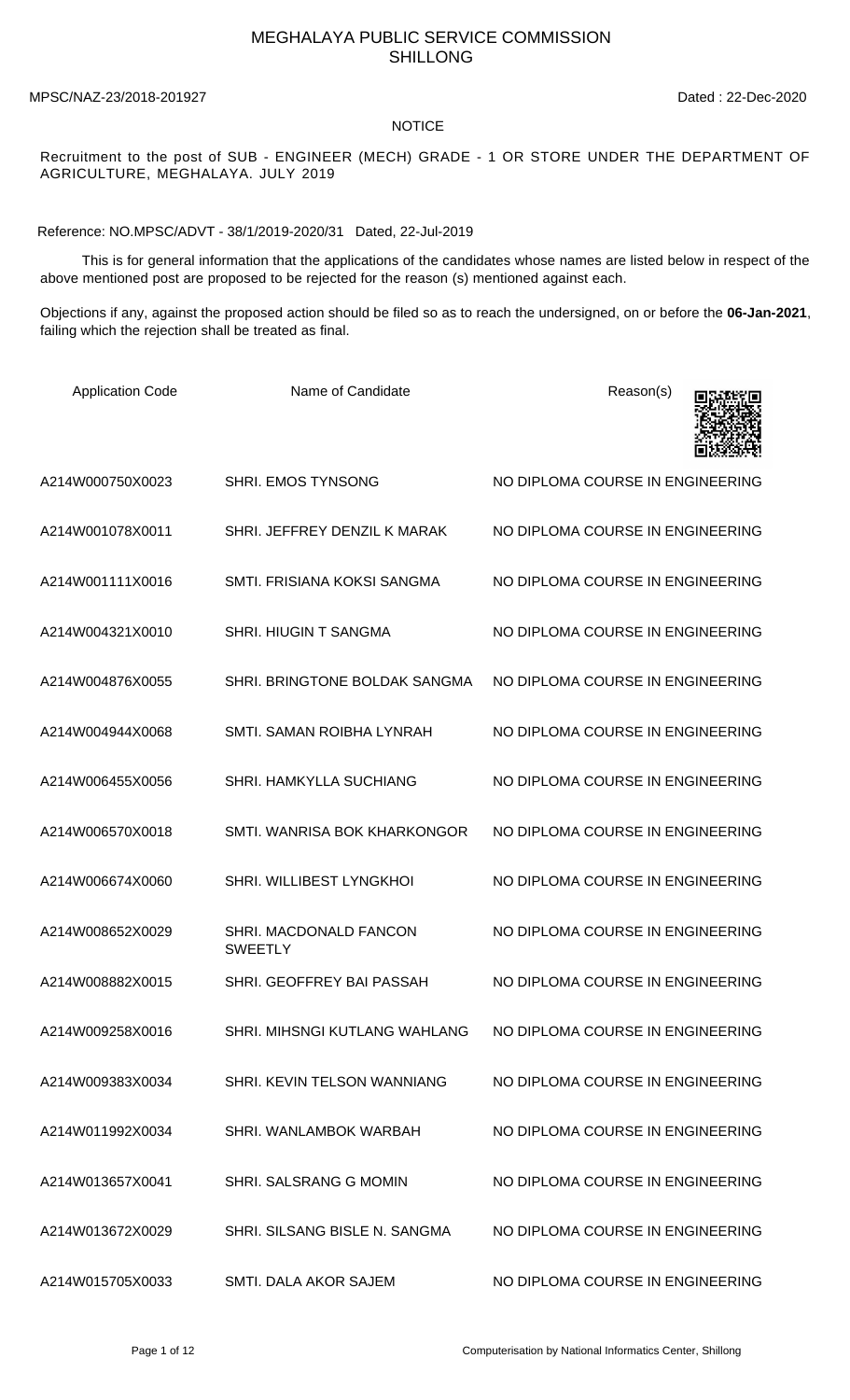## MEGHALAYA PUBLIC SERVICE COMMISSION SHILLONG

MPSC/NAZ-23/2018-201927 Dated : 22-Dec-2020

## NOTICE

Recruitment to the post of SUB - ENGINEER (MECH) GRADE - 1 OR STORE UNDER THE DEPARTMENT OF AGRICULTURE, MEGHALAYA. JULY 2019

Reference: NO.MPSC/ADVT - 38/1/2019-2020/31 Dated, 22-Jul-2019

 This is for general information that the applications of the candidates whose names are listed below in respect of the above mentioned post are proposed to be rejected for the reason (s) mentioned against each.

Objections if any, against the proposed action should be filed so as to reach the undersigned, on or before the **06-Jan-2021**, failing which the rejection shall be treated as final.

| <b>Application Code</b> | Name of Candidate                        | Reason(s)                        |
|-------------------------|------------------------------------------|----------------------------------|
| A214W000750X0023        | SHRI. EMOS TYNSONG                       | NO DIPLOMA COURSE IN ENGINEERING |
| A214W001078X0011        | SHRI. JEFFREY DENZIL K MARAK             | NO DIPLOMA COURSE IN ENGINEERING |
| A214W001111X0016        | SMTI. FRISIANA KOKSI SANGMA              | NO DIPLOMA COURSE IN ENGINEERING |
| A214W004321X0010        | <b>SHRI. HIUGIN T SANGMA</b>             | NO DIPLOMA COURSE IN ENGINEERING |
| A214W004876X0055        | SHRI. BRINGTONE BOLDAK SANGMA            | NO DIPLOMA COURSE IN ENGINEERING |
| A214W004944X0068        | SMTI. SAMAN ROIBHA LYNRAH                | NO DIPLOMA COURSE IN ENGINEERING |
| A214W006455X0056        | <b>SHRI. HAMKYLLA SUCHIANG</b>           | NO DIPLOMA COURSE IN ENGINEERING |
| A214W006570X0018        | SMTI. WANRISA BOK KHARKONGOR             | NO DIPLOMA COURSE IN ENGINEERING |
| A214W006674X0060        | SHRI. WILLIBEST LYNGKHOI                 | NO DIPLOMA COURSE IN ENGINEERING |
| A214W008652X0029        | SHRI. MACDONALD FANCON<br><b>SWEETLY</b> | NO DIPLOMA COURSE IN ENGINEERING |
| A214W008882X0015        | SHRI. GEOFFREY BAI PASSAH                | NO DIPLOMA COURSE IN ENGINEERING |
| A214W009258X0016        | SHRI. MIHSNGI KUTLANG WAHLANG            | NO DIPLOMA COURSE IN ENGINEERING |
| A214W009383X0034        | SHRI. KEVIN TELSON WANNIANG              | NO DIPLOMA COURSE IN ENGINEERING |
| A214W011992X0034        | SHRI. WANLAMBOK WARBAH                   | NO DIPLOMA COURSE IN ENGINEERING |
| A214W013657X0041        | SHRI. SALSRANG G MOMIN                   | NO DIPLOMA COURSE IN ENGINEERING |
| A214W013672X0029        | SHRI. SILSANG BISLE N. SANGMA            | NO DIPLOMA COURSE IN ENGINEERING |
| A214W015705X0033        | SMTI. DALA AKOR SAJEM                    | NO DIPLOMA COURSE IN ENGINEERING |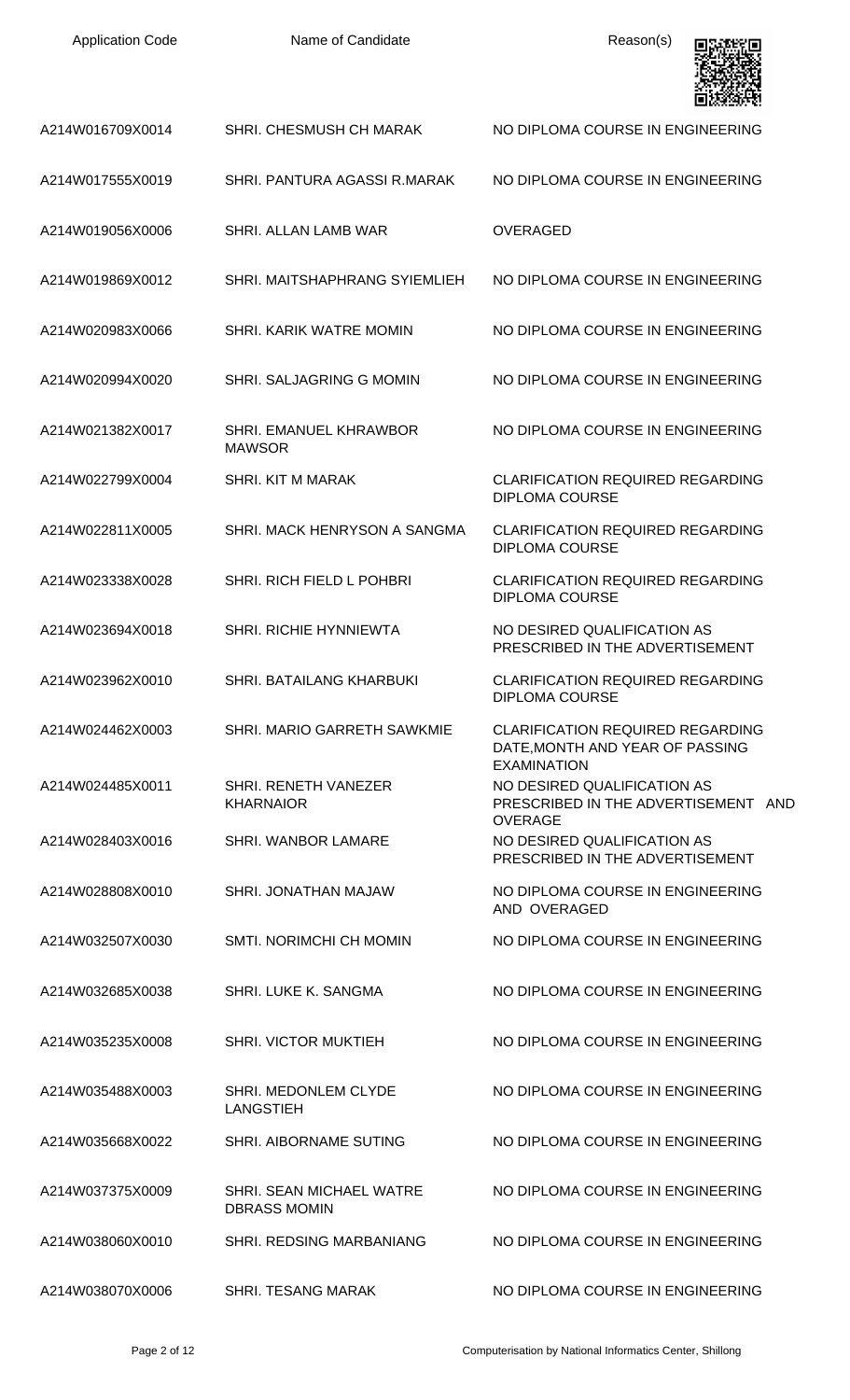| <b>Application Code</b> | Name of Candidate                               | Reason(s)                                                                                        |
|-------------------------|-------------------------------------------------|--------------------------------------------------------------------------------------------------|
| A214W016709X0014        | SHRI. CHESMUSH CH MARAK                         | NO DIPLOMA COURSE IN ENGINEERING                                                                 |
| A214W017555X0019        | SHRI. PANTURA AGASSI R.MARAK                    | NO DIPLOMA COURSE IN ENGINEERING                                                                 |
| A214W019056X0006        | SHRI. ALLAN LAMB WAR                            | <b>OVERAGED</b>                                                                                  |
| A214W019869X0012        | SHRI. MAITSHAPHRANG SYIEMLIEH                   | NO DIPLOMA COURSE IN ENGINEERING                                                                 |
| A214W020983X0066        | SHRI. KARIK WATRE MOMIN                         | NO DIPLOMA COURSE IN ENGINEERING                                                                 |
| A214W020994X0020        | SHRI. SALJAGRING G MOMIN                        | NO DIPLOMA COURSE IN ENGINEERING                                                                 |
| A214W021382X0017        | SHRI. EMANUEL KHRAWBOR<br><b>MAWSOR</b>         | NO DIPLOMA COURSE IN ENGINEERING                                                                 |
| A214W022799X0004        | <b>SHRI. KIT M MARAK</b>                        | <b>CLARIFICATION REQUIRED REGARDING</b><br><b>DIPLOMA COURSE</b>                                 |
| A214W022811X0005        | SHRI. MACK HENRYSON A SANGMA                    | <b>CLARIFICATION REQUIRED REGARDING</b><br><b>DIPLOMA COURSE</b>                                 |
| A214W023338X0028        | SHRI. RICH FIELD L POHBRI                       | <b>CLARIFICATION REQUIRED REGARDING</b><br><b>DIPLOMA COURSE</b>                                 |
| A214W023694X0018        | SHRI. RICHIE HYNNIEWTA                          | NO DESIRED QUALIFICATION AS<br>PRESCRIBED IN THE ADVERTISEMENT                                   |
| A214W023962X0010        | SHRI, BATAILANG KHARBUKI                        | <b>CLARIFICATION REQUIRED REGARDING</b><br><b>DIPLOMA COURSE</b>                                 |
| A214W024462X0003        | SHRI, MARIO GARRETH SAWKMIE                     | <b>CLARIFICATION REQUIRED REGARDING</b><br>DATE, MONTH AND YEAR OF PASSING<br><b>EXAMINATION</b> |
| A214W024485X0011        | <b>SHRI. RENETH VANEZER</b><br><b>KHARNAIOR</b> | NO DESIRED QUALIFICATION AS<br>PRESCRIBED IN THE ADVERTISEMENT AND<br><b>OVERAGE</b>             |
| A214W028403X0016        | <b>SHRI. WANBOR LAMARE</b>                      | NO DESIRED QUALIFICATION AS<br>PRESCRIBED IN THE ADVERTISEMENT                                   |
| A214W028808X0010        | SHRI. JONATHAN MAJAW                            | NO DIPLOMA COURSE IN ENGINEERING<br>AND OVERAGED                                                 |
| A214W032507X0030        | SMTI. NORIMCHI CH MOMIN                         | NO DIPLOMA COURSE IN ENGINEERING                                                                 |
| A214W032685X0038        | SHRI. LUKE K. SANGMA                            | NO DIPLOMA COURSE IN ENGINEERING                                                                 |
| A214W035235X0008        | <b>SHRI. VICTOR MUKTIEH</b>                     | NO DIPLOMA COURSE IN ENGINEERING                                                                 |
| A214W035488X0003        | SHRI. MEDONLEM CLYDE<br><b>LANGSTIEH</b>        | NO DIPLOMA COURSE IN ENGINEERING                                                                 |
| A214W035668X0022        | SHRI. AIBORNAME SUTING                          | NO DIPLOMA COURSE IN ENGINEERING                                                                 |
| A214W037375X0009        | SHRI. SEAN MICHAEL WATRE<br><b>DBRASS MOMIN</b> | NO DIPLOMA COURSE IN ENGINEERING                                                                 |
| A214W038060X0010        | SHRI, REDSING MARBANIANG                        | NO DIPLOMA COURSE IN ENGINEERING                                                                 |
| A214W038070X0006        | <b>SHRI. TESANG MARAK</b>                       | NO DIPLOMA COURSE IN ENGINEERING                                                                 |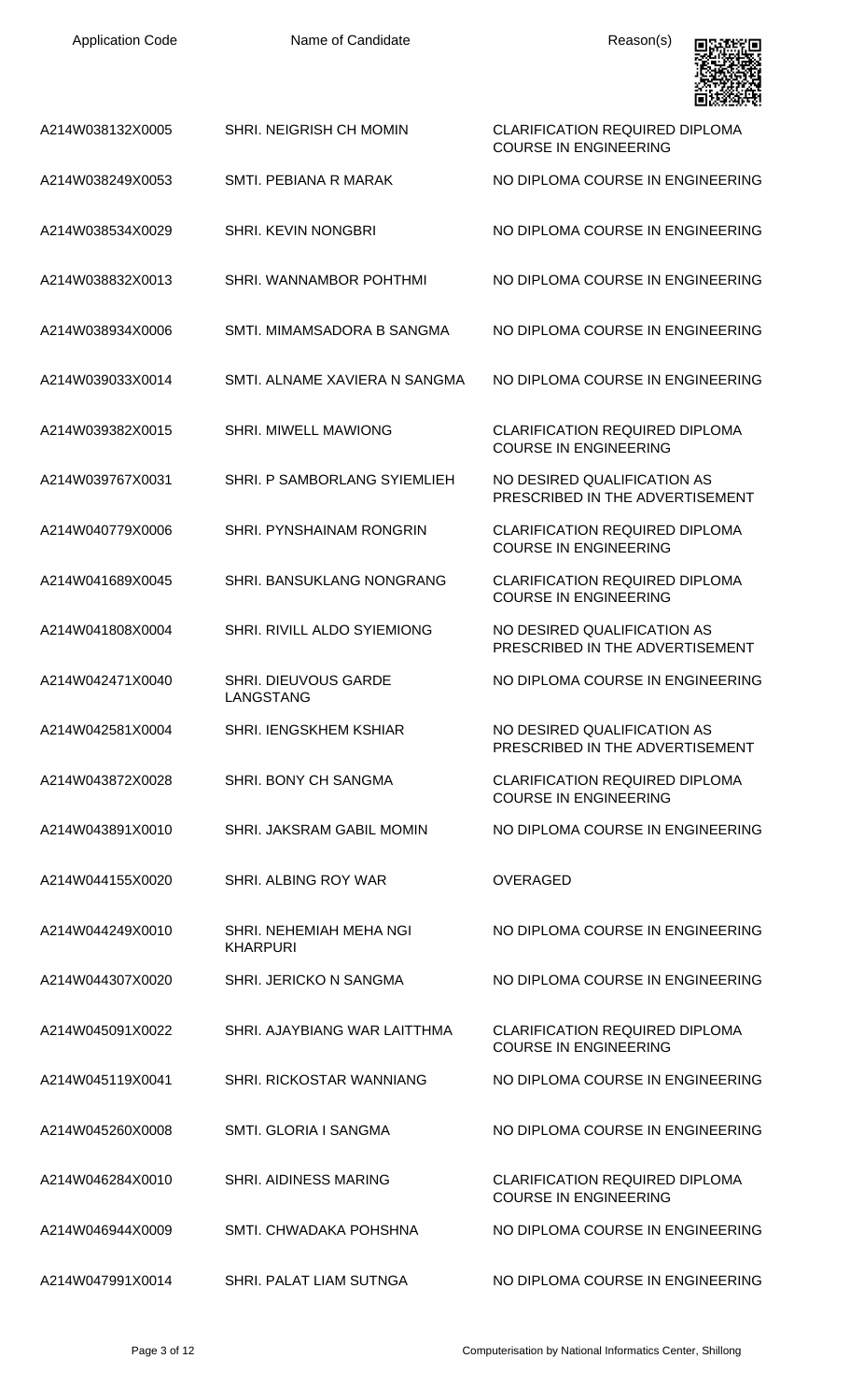| <b>Application Code</b> | Name of Candidate                          | Reason(s)                                                             |
|-------------------------|--------------------------------------------|-----------------------------------------------------------------------|
| A214W038132X0005        | SHRI. NEIGRISH CH MOMIN                    | <b>CLARIFICATION REQUIRED DIPLOMA</b><br><b>COURSE IN ENGINEERING</b> |
| A214W038249X0053        | SMTI. PEBIANA R MARAK                      | NO DIPLOMA COURSE IN ENGINEERING                                      |
| A214W038534X0029        | SHRI. KEVIN NONGBRI                        | NO DIPLOMA COURSE IN ENGINEERING                                      |
| A214W038832X0013        | SHRI. WANNAMBOR POHTHMI                    | NO DIPLOMA COURSE IN ENGINEERING                                      |
| A214W038934X0006        | SMTI. MIMAMSADORA B SANGMA                 | NO DIPLOMA COURSE IN ENGINEERING                                      |
| A214W039033X0014        | SMTI. ALNAME XAVIERA N SANGMA              | NO DIPLOMA COURSE IN ENGINEERING                                      |
| A214W039382X0015        | <b>SHRI. MIWELL MAWIONG</b>                | <b>CLARIFICATION REQUIRED DIPLOMA</b><br><b>COURSE IN ENGINEERING</b> |
| A214W039767X0031        | SHRI. P SAMBORLANG SYIEMLIEH               | NO DESIRED QUALIFICATION AS<br>PRESCRIBED IN THE ADVERTISEMENT        |
| A214W040779X0006        | SHRI. PYNSHAINAM RONGRIN                   | <b>CLARIFICATION REQUIRED DIPLOMA</b><br><b>COURSE IN ENGINEERING</b> |
| A214W041689X0045        | SHRI. BANSUKLANG NONGRANG                  | <b>CLARIFICATION REQUIRED DIPLOMA</b><br><b>COURSE IN ENGINEERING</b> |
| A214W041808X0004        | SHRI. RIVILL ALDO SYIEMIONG                | NO DESIRED QUALIFICATION AS<br>PRESCRIBED IN THE ADVERTISEMENT        |
| A214W042471X0040        | SHRI. DIEUVOUS GARDE<br><b>LANGSTANG</b>   | NO DIPLOMA COURSE IN ENGINEERING                                      |
| A214W042581X0004        | <b>SHRI. IENGSKHEM KSHIAR</b>              | NO DESIRED QUALIFICATION AS<br>PRESCRIBED IN THE ADVERTISEMENT        |
| A214W043872X0028        | SHRI. BONY CH SANGMA                       | <b>CLARIFICATION REQUIRED DIPLOMA</b><br><b>COURSE IN ENGINEERING</b> |
| A214W043891X0010        | SHRI. JAKSRAM GABIL MOMIN                  | NO DIPLOMA COURSE IN ENGINEERING                                      |
| A214W044155X0020        | SHRI. ALBING ROY WAR                       | <b>OVERAGED</b>                                                       |
| A214W044249X0010        | SHRI. NEHEMIAH MEHA NGI<br><b>KHARPURI</b> | NO DIPLOMA COURSE IN ENGINEERING                                      |
| A214W044307X0020        | SHRI. JERICKO N SANGMA                     | NO DIPLOMA COURSE IN ENGINEERING                                      |
| A214W045091X0022        | SHRI. AJAYBIANG WAR LAITTHMA               | <b>CLARIFICATION REQUIRED DIPLOMA</b><br><b>COURSE IN ENGINEERING</b> |
| A214W045119X0041        | SHRI. RICKOSTAR WANNIANG                   | NO DIPLOMA COURSE IN ENGINEERING                                      |
| A214W045260X0008        | SMTI. GLORIA I SANGMA                      | NO DIPLOMA COURSE IN ENGINEERING                                      |
| A214W046284X0010        | <b>SHRI. AIDINESS MARING</b>               | <b>CLARIFICATION REQUIRED DIPLOMA</b><br><b>COURSE IN ENGINEERING</b> |
| A214W046944X0009        | SMTI. CHWADAKA POHSHNA                     | NO DIPLOMA COURSE IN ENGINEERING                                      |
| A214W047991X0014        | SHRI. PALAT LIAM SUTNGA                    | NO DIPLOMA COURSE IN ENGINEERING                                      |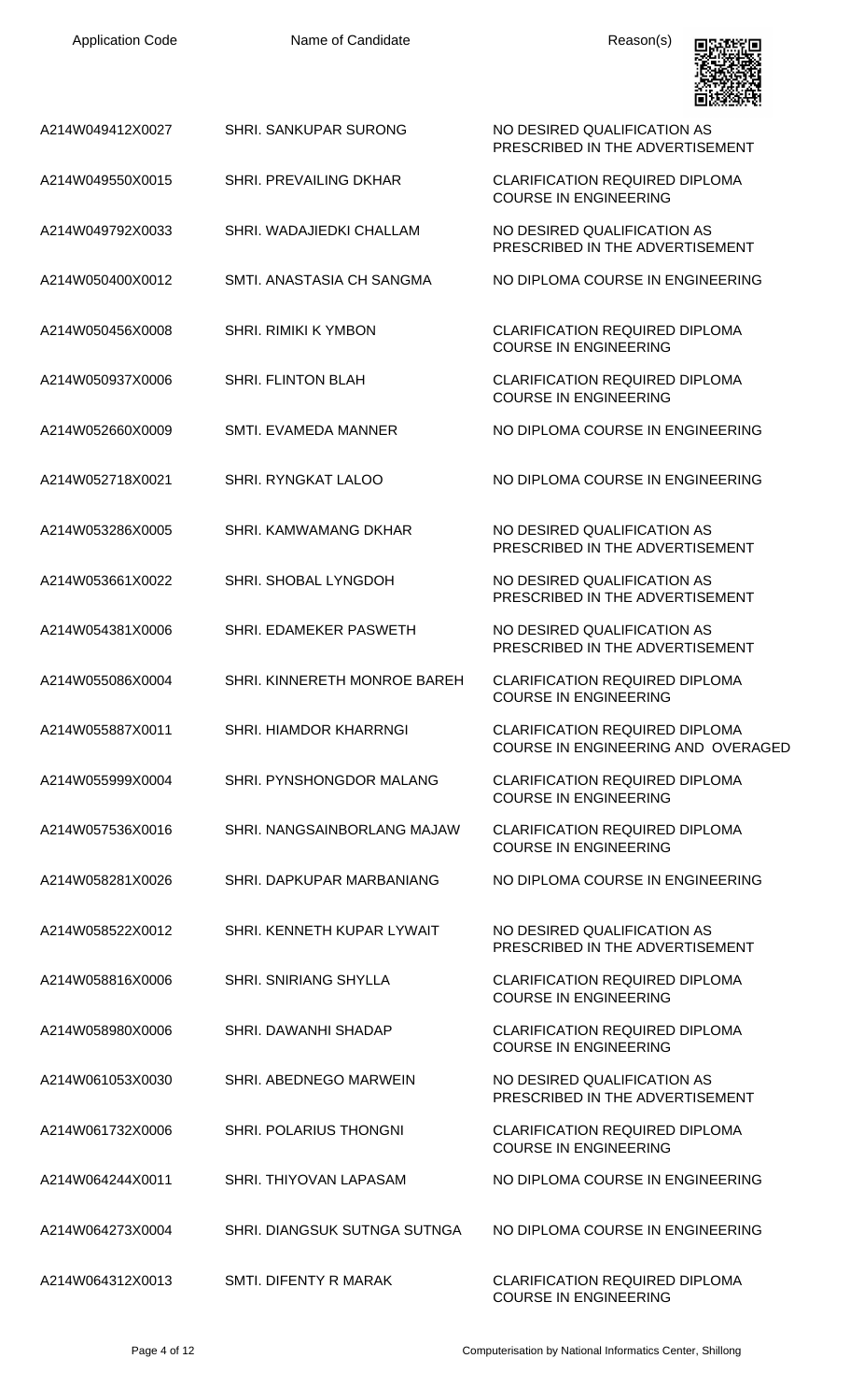| <b>Application Code</b> | Name of Candidate             | Reason(s)                                                                   |
|-------------------------|-------------------------------|-----------------------------------------------------------------------------|
| A214W049412X0027        | <b>SHRI. SANKUPAR SURONG</b>  | NO DESIRED QUALIFICATION AS<br>PRESCRIBED IN THE ADVERTISEMENT              |
| A214W049550X0015        | <b>SHRI. PREVAILING DKHAR</b> | <b>CLARIFICATION REQUIRED DIPLOMA</b><br><b>COURSE IN ENGINEERING</b>       |
| A214W049792X0033        | SHRI. WADAJIEDKI CHALLAM      | NO DESIRED QUALIFICATION AS<br>PRESCRIBED IN THE ADVERTISEMENT              |
| A214W050400X0012        | SMTI. ANASTASIA CH SANGMA     | NO DIPLOMA COURSE IN ENGINEERING                                            |
| A214W050456X0008        | <b>SHRI. RIMIKI K YMBON</b>   | <b>CLARIFICATION REQUIRED DIPLOMA</b><br><b>COURSE IN ENGINEERING</b>       |
| A214W050937X0006        | <b>SHRI. FLINTON BLAH</b>     | <b>CLARIFICATION REQUIRED DIPLOMA</b><br><b>COURSE IN ENGINEERING</b>       |
| A214W052660X0009        | <b>SMTI. EVAMEDA MANNER</b>   | NO DIPLOMA COURSE IN ENGINEERING                                            |
| A214W052718X0021        | SHRI. RYNGKAT LALOO           | NO DIPLOMA COURSE IN ENGINEERING                                            |
| A214W053286X0005        | SHRI. KAMWAMANG DKHAR         | NO DESIRED QUALIFICATION AS<br>PRESCRIBED IN THE ADVERTISEMENT              |
| A214W053661X0022        | SHRI. SHOBAL LYNGDOH          | NO DESIRED QUALIFICATION AS<br>PRESCRIBED IN THE ADVERTISEMENT              |
| A214W054381X0006        | SHRI. EDAMEKER PASWETH        | NO DESIRED QUALIFICATION AS<br>PRESCRIBED IN THE ADVERTISEMENT              |
| A214W055086X0004        | SHRI. KINNERETH MONROE BAREH  | <b>CLARIFICATION REQUIRED DIPLOMA</b><br><b>COURSE IN ENGINEERING</b>       |
| A214W055887X0011        | <b>SHRI. HIAMDOR KHARRNGI</b> | <b>CLARIFICATION REQUIRED DIPLOMA</b><br>COURSE IN ENGINEERING AND OVERAGED |
| A214W055999X0004        | SHRI. PYNSHONGDOR MALANG      | <b>CLARIFICATION REQUIRED DIPLOMA</b><br><b>COURSE IN ENGINEERING</b>       |
| A214W057536X0016        | SHRI, NANGSAINBORLANG MAJAW   | <b>CLARIFICATION REQUIRED DIPLOMA</b><br><b>COURSE IN ENGINEERING</b>       |
| A214W058281X0026        | SHRI. DAPKUPAR MARBANIANG     | NO DIPLOMA COURSE IN ENGINEERING                                            |
| A214W058522X0012        | SHRI. KENNETH KUPAR LYWAIT    | NO DESIRED QUALIFICATION AS<br>PRESCRIBED IN THE ADVERTISEMENT              |
| A214W058816X0006        | <b>SHRI. SNIRIANG SHYLLA</b>  | <b>CLARIFICATION REQUIRED DIPLOMA</b><br><b>COURSE IN ENGINEERING</b>       |
| A214W058980X0006        | SHRI. DAWANHI SHADAP          | <b>CLARIFICATION REQUIRED DIPLOMA</b><br><b>COURSE IN ENGINEERING</b>       |
| A214W061053X0030        | SHRI. ABEDNEGO MARWEIN        | NO DESIRED QUALIFICATION AS<br>PRESCRIBED IN THE ADVERTISEMENT              |
| A214W061732X0006        | SHRI. POLARIUS THONGNI        | <b>CLARIFICATION REQUIRED DIPLOMA</b><br><b>COURSE IN ENGINEERING</b>       |
| A214W064244X0011        | SHRI. THIYOVAN LAPASAM        | NO DIPLOMA COURSE IN ENGINEERING                                            |
| A214W064273X0004        | SHRI. DIANGSUK SUTNGA SUTNGA  | NO DIPLOMA COURSE IN ENGINEERING                                            |
| A214W064312X0013        | SMTI. DIFENTY R MARAK         | <b>CLARIFICATION REQUIRED DIPLOMA</b><br><b>COURSE IN ENGINEERING</b>       |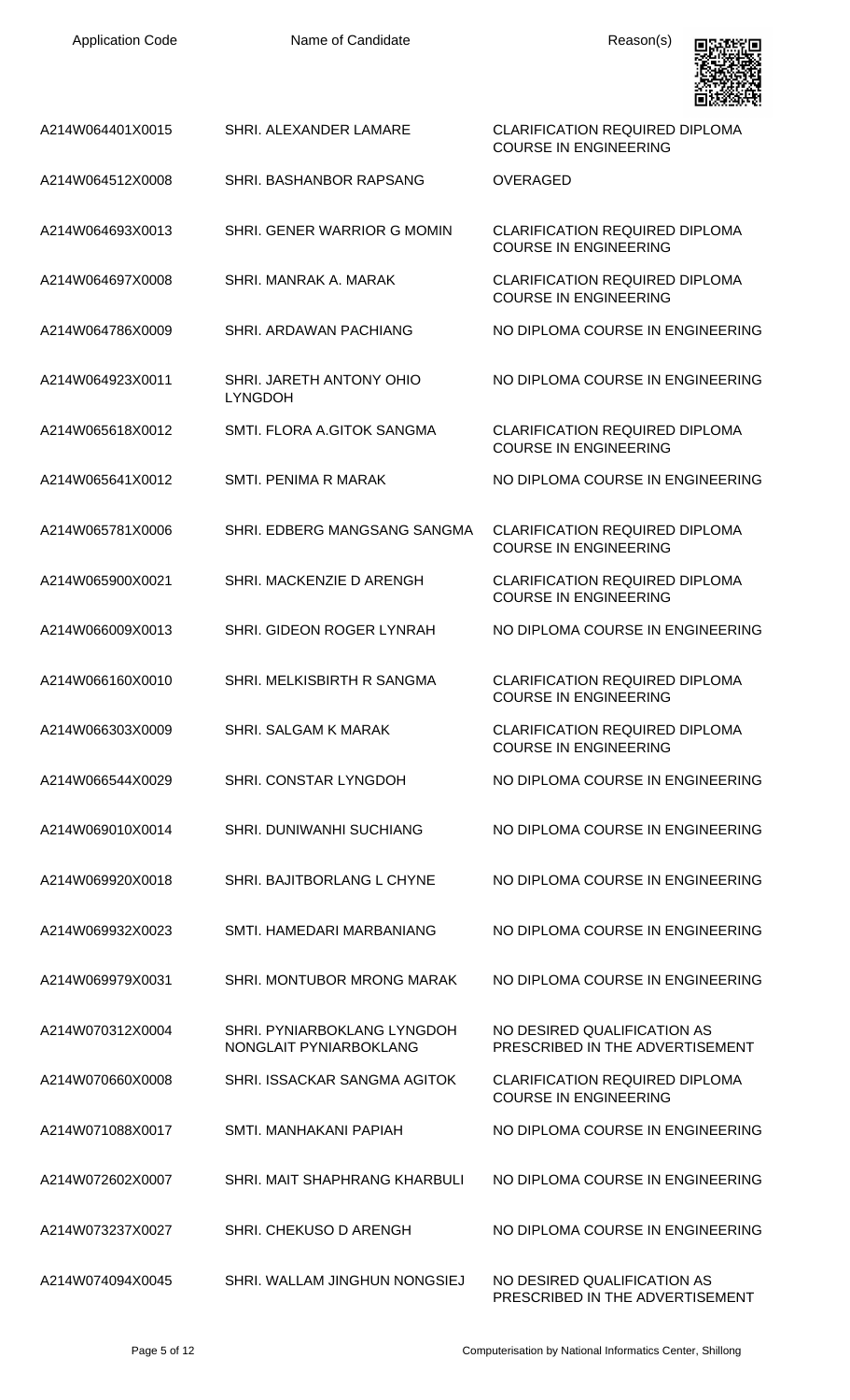| <b>Application Code</b> | Name of Candidate                                     | Reason(s)                                                             |
|-------------------------|-------------------------------------------------------|-----------------------------------------------------------------------|
| A214W064401X0015        | SHRI. ALEXANDER LAMARE                                | <b>CLARIFICATION REQUIRED DIPLOMA</b><br><b>COURSE IN ENGINEERING</b> |
| A214W064512X0008        | SHRI. BASHANBOR RAPSANG                               | <b>OVERAGED</b>                                                       |
| A214W064693X0013        | SHRI. GENER WARRIOR G MOMIN                           | <b>CLARIFICATION REQUIRED DIPLOMA</b><br><b>COURSE IN ENGINEERING</b> |
| A214W064697X0008        | SHRI. MANRAK A. MARAK                                 | <b>CLARIFICATION REQUIRED DIPLOMA</b><br><b>COURSE IN ENGINEERING</b> |
| A214W064786X0009        | SHRI. ARDAWAN PACHIANG                                | NO DIPLOMA COURSE IN ENGINEERING                                      |
| A214W064923X0011        | SHRI. JARETH ANTONY OHIO<br><b>LYNGDOH</b>            | NO DIPLOMA COURSE IN ENGINEERING                                      |
| A214W065618X0012        | SMTI. FLORA A.GITOK SANGMA                            | <b>CLARIFICATION REQUIRED DIPLOMA</b><br><b>COURSE IN ENGINEERING</b> |
| A214W065641X0012        | SMTI. PENIMA R MARAK                                  | NO DIPLOMA COURSE IN ENGINEERING                                      |
| A214W065781X0006        | SHRI. EDBERG MANGSANG SANGMA                          | <b>CLARIFICATION REQUIRED DIPLOMA</b><br><b>COURSE IN ENGINEERING</b> |
| A214W065900X0021        | SHRI. MACKENZIE D ARENGH                              | <b>CLARIFICATION REQUIRED DIPLOMA</b><br><b>COURSE IN ENGINEERING</b> |
| A214W066009X0013        | SHRI. GIDEON ROGER LYNRAH                             | NO DIPLOMA COURSE IN ENGINEERING                                      |
| A214W066160X0010        | SHRI. MELKISBIRTH R SANGMA                            | <b>CLARIFICATION REQUIRED DIPLOMA</b><br><b>COURSE IN ENGINEERING</b> |
| A214W066303X0009        | SHRI, SALGAM K MARAK                                  | <b>CLARIFICATION REQUIRED DIPLOMA</b><br><b>COURSE IN ENGINEERING</b> |
| A214W066544X0029        | <b>SHRI. CONSTAR LYNGDOH</b>                          | NO DIPLOMA COURSE IN ENGINEERING                                      |
| A214W069010X0014        | <b>SHRI. DUNIWANHI SUCHIANG</b>                       | NO DIPLOMA COURSE IN ENGINEERING                                      |
| A214W069920X0018        | SHRI. BAJITBORLANG L CHYNE                            | NO DIPLOMA COURSE IN ENGINEERING                                      |
| A214W069932X0023        | SMTI. HAMEDARI MARBANIANG                             | NO DIPLOMA COURSE IN ENGINEERING                                      |
| A214W069979X0031        | SHRI. MONTUBOR MRONG MARAK                            | NO DIPLOMA COURSE IN ENGINEERING                                      |
| A214W070312X0004        | SHRI. PYNIARBOKLANG LYNGDOH<br>NONGLAIT PYNIARBOKLANG | NO DESIRED QUALIFICATION AS<br>PRESCRIBED IN THE ADVERTISEMENT        |
| A214W070660X0008        | SHRI. ISSACKAR SANGMA AGITOK                          | <b>CLARIFICATION REQUIRED DIPLOMA</b><br><b>COURSE IN ENGINEERING</b> |
| A214W071088X0017        | SMTI. MANHAKANI PAPIAH                                | NO DIPLOMA COURSE IN ENGINEERING                                      |
| A214W072602X0007        | SHRI. MAIT SHAPHRANG KHARBULI                         | NO DIPLOMA COURSE IN ENGINEERING                                      |
| A214W073237X0027        | SHRI. CHEKUSO D ARENGH                                | NO DIPLOMA COURSE IN ENGINEERING                                      |
| A214W074094X0045        | SHRI. WALLAM JINGHUN NONGSIEJ                         | NO DESIRED QUALIFICATION AS<br>PRESCRIBED IN THE ADVERTISEMENT        |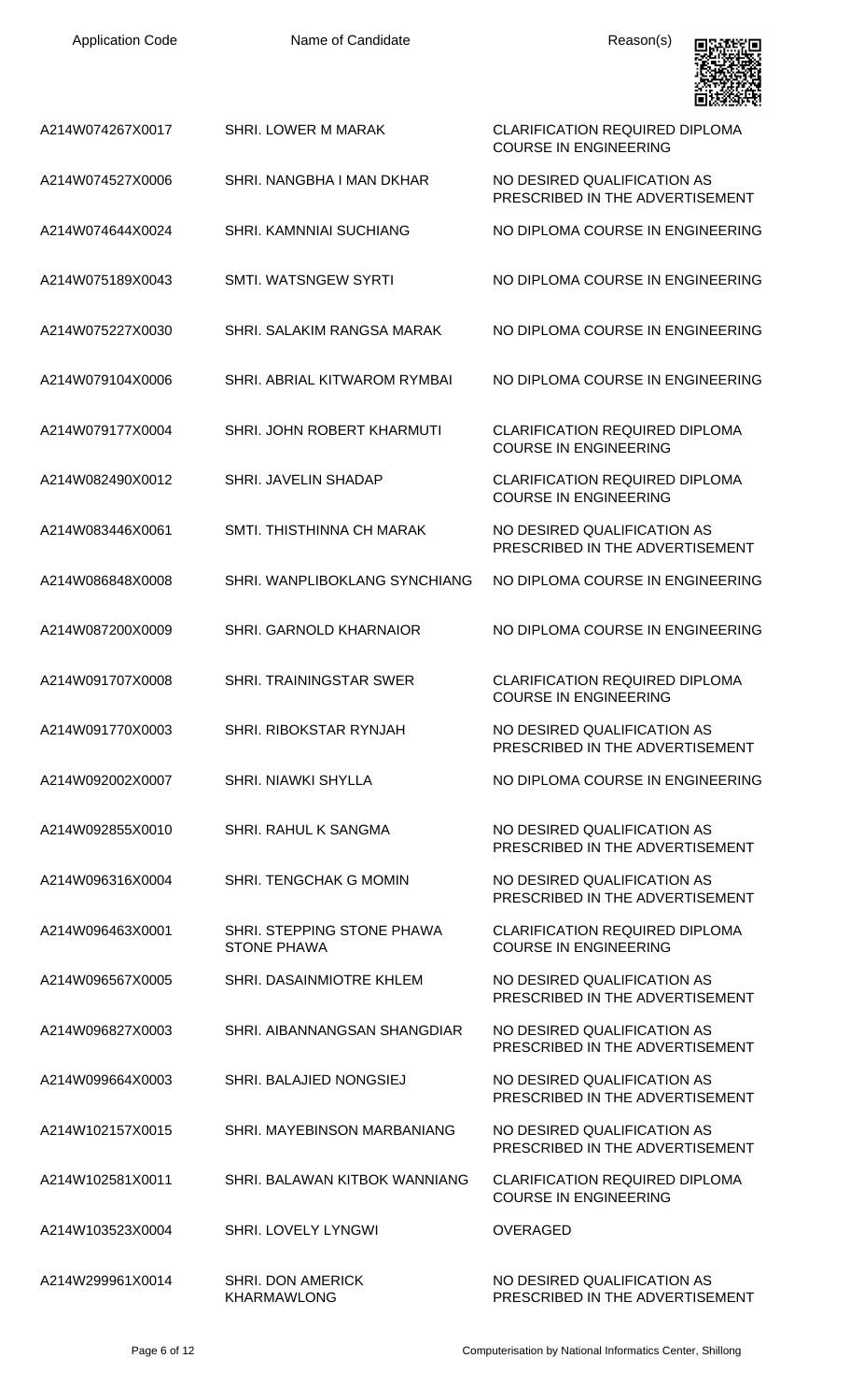| <b>Application Code</b> | Name of Candidate                                | Reason(s)                                                             |
|-------------------------|--------------------------------------------------|-----------------------------------------------------------------------|
| A214W074267X0017        | <b>SHRI, LOWER M MARAK</b>                       | <b>CLARIFICATION REQUIRED DIPLOMA</b><br><b>COURSE IN ENGINEERING</b> |
| A214W074527X0006        | SHRI. NANGBHA I MAN DKHAR                        | NO DESIRED QUALIFICATION AS<br>PRESCRIBED IN THE ADVERTISEMENT        |
| A214W074644X0024        | <b>SHRI, KAMNNIAI SUCHIANG</b>                   | NO DIPLOMA COURSE IN ENGINEERING                                      |
| A214W075189X0043        | SMTI. WATSNGEW SYRTI                             | NO DIPLOMA COURSE IN ENGINEERING                                      |
| A214W075227X0030        | SHRI. SALAKIM RANGSA MARAK                       | NO DIPLOMA COURSE IN ENGINEERING                                      |
| A214W079104X0006        | <b>SHRI, ABRIAL KITWAROM RYMBAI</b>              | NO DIPLOMA COURSE IN ENGINEERING                                      |
| A214W079177X0004        | SHRI. JOHN ROBERT KHARMUTI                       | <b>CLARIFICATION REQUIRED DIPLOMA</b><br><b>COURSE IN ENGINEERING</b> |
| A214W082490X0012        | SHRI. JAVELIN SHADAP                             | <b>CLARIFICATION REQUIRED DIPLOMA</b><br><b>COURSE IN ENGINEERING</b> |
| A214W083446X0061        | SMTI. THISTHINNA CH MARAK                        | NO DESIRED QUALIFICATION AS<br>PRESCRIBED IN THE ADVERTISEMENT        |
| A214W086848X0008        | SHRI. WANPLIBOKLANG SYNCHIANG                    | NO DIPLOMA COURSE IN ENGINEERING                                      |
| A214W087200X0009        | <b>SHRI. GARNOLD KHARNAIOR</b>                   | NO DIPLOMA COURSE IN ENGINEERING                                      |
| A214W091707X0008        | <b>SHRI. TRAININGSTAR SWER</b>                   | <b>CLARIFICATION REQUIRED DIPLOMA</b><br><b>COURSE IN ENGINEERING</b> |
| A214W091770X0003        | SHRI. RIBOKSTAR RYNJAH                           | NO DESIRED QUALIFICATION AS<br>PRESCRIBED IN THE ADVERTISEMENT        |
| A214W092002X0007        | <b>SHRI, NIAWKI SHYLLA</b>                       | NO DIPLOMA COURSE IN ENGINEERING                                      |
| A214W092855X0010        | <b>SHRI. RAHUL K SANGMA</b>                      | NO DESIRED OUALIFICATION AS<br>PRESCRIBED IN THE ADVERTISEMENT        |
| A214W096316X0004        | SHRI. TENGCHAK G MOMIN                           | NO DESIRED QUALIFICATION AS<br>PRESCRIBED IN THE ADVERTISEMENT        |
| A214W096463X0001        | SHRI. STEPPING STONE PHAWA<br><b>STONE PHAWA</b> | <b>CLARIFICATION REQUIRED DIPLOMA</b><br><b>COURSE IN ENGINEERING</b> |
| A214W096567X0005        | SHRI. DASAINMIOTRE KHLEM                         | NO DESIRED QUALIFICATION AS<br>PRESCRIBED IN THE ADVERTISEMENT        |
| A214W096827X0003        | SHRI. AIBANNANGSAN SHANGDIAR                     | NO DESIRED QUALIFICATION AS<br>PRESCRIBED IN THE ADVERTISEMENT        |
| A214W099664X0003        | SHRI. BALAJIED NONGSIEJ                          | NO DESIRED QUALIFICATION AS<br>PRESCRIBED IN THE ADVERTISEMENT        |
| A214W102157X0015        | SHRI. MAYEBINSON MARBANIANG                      | NO DESIRED QUALIFICATION AS<br>PRESCRIBED IN THE ADVERTISEMENT        |
| A214W102581X0011        | SHRI. BALAWAN KITBOK WANNIANG                    | <b>CLARIFICATION REQUIRED DIPLOMA</b><br><b>COURSE IN ENGINEERING</b> |
| A214W103523X0004        | <b>SHRI. LOVELY LYNGWI</b>                       | <b>OVERAGED</b>                                                       |
| A214W299961X0014        | <b>SHRI. DON AMERICK</b><br><b>KHARMAWLONG</b>   | NO DESIRED QUALIFICATION AS<br>PRESCRIBED IN THE ADVERTISEMENT        |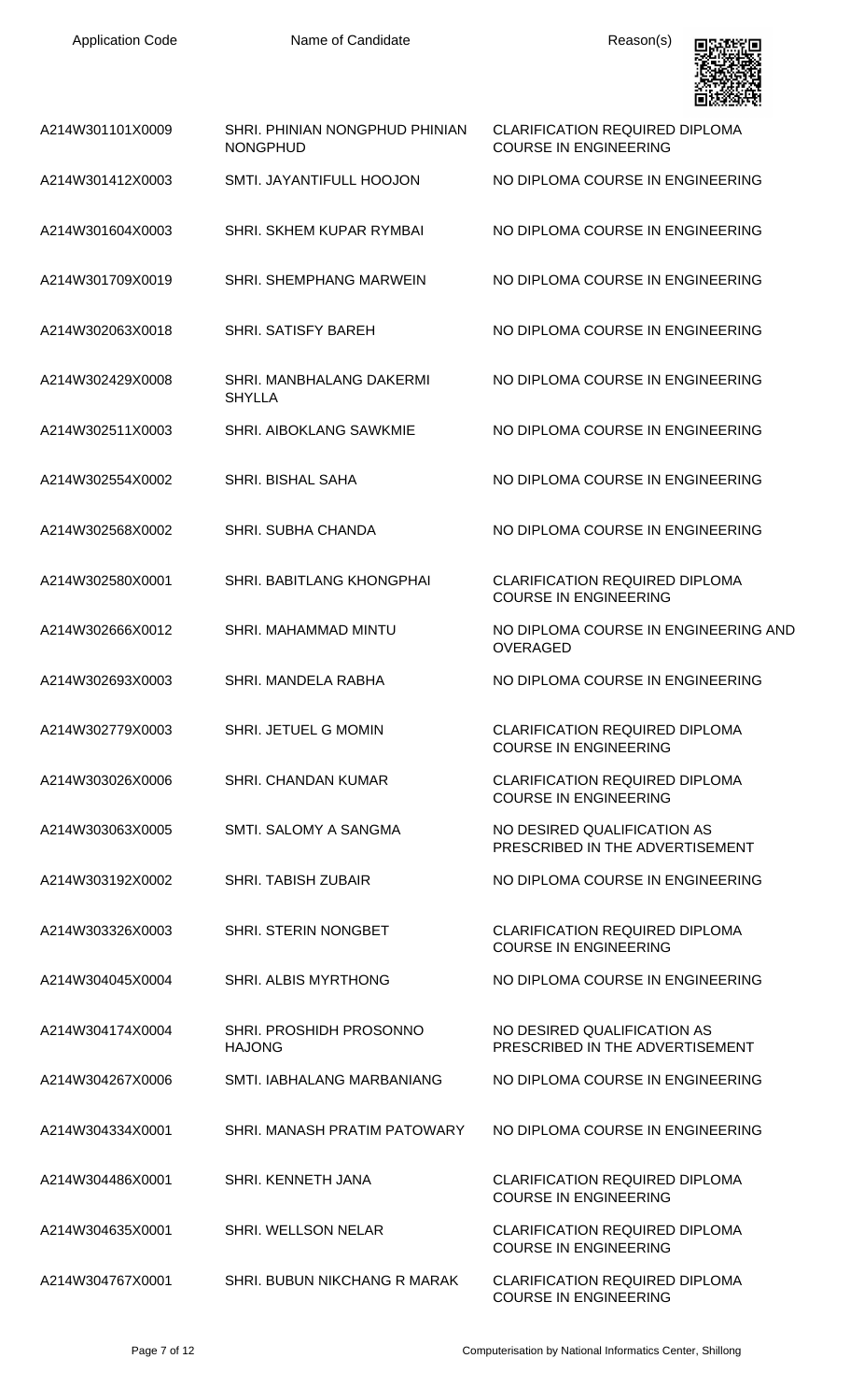

| A214W301101X0009 | SHRI. PHINIAN NONGPHUD PHINIAN<br><b>NONGPHUD</b> | <b>CLARIFICATION REQUIRED DIPLOMA</b><br><b>COURSE IN ENGINEERING</b> |
|------------------|---------------------------------------------------|-----------------------------------------------------------------------|
| A214W301412X0003 | SMTI. JAYANTIFULL HOOJON                          | NO DIPLOMA COURSE IN ENGINEERING                                      |
| A214W301604X0003 | SHRI. SKHEM KUPAR RYMBAI                          | NO DIPLOMA COURSE IN ENGINEERING                                      |
| A214W301709X0019 | SHRI. SHEMPHANG MARWEIN                           | NO DIPLOMA COURSE IN ENGINEERING                                      |
| A214W302063X0018 | <b>SHRI. SATISFY BAREH</b>                        | NO DIPLOMA COURSE IN ENGINEERING                                      |
| A214W302429X0008 | SHRI. MANBHALANG DAKERMI<br><b>SHYLLA</b>         | NO DIPLOMA COURSE IN ENGINEERING                                      |
| A214W302511X0003 | <b>SHRI. AIBOKLANG SAWKMIE</b>                    | NO DIPLOMA COURSE IN ENGINEERING                                      |
| A214W302554X0002 | SHRI. BISHAL SAHA                                 | NO DIPLOMA COURSE IN ENGINEERING                                      |
| A214W302568X0002 | <b>SHRI. SUBHA CHANDA</b>                         | NO DIPLOMA COURSE IN ENGINEERING                                      |
| A214W302580X0001 | SHRI. BABITLANG KHONGPHAI                         | <b>CLARIFICATION REQUIRED DIPLOMA</b><br><b>COURSE IN ENGINEERING</b> |
| A214W302666X0012 | SHRI. MAHAMMAD MINTU                              | NO DIPLOMA COURSE IN ENGINEERING AND<br><b>OVERAGED</b>               |
| A214W302693X0003 | SHRI, MANDELA RABHA                               | NO DIPLOMA COURSE IN ENGINEERING                                      |
| A214W302779X0003 | SHRI. JETUEL G MOMIN                              | CLARIFICATION REQUIRED DIPLOMA<br><b>COURSE IN ENGINEERING</b>        |
| A214W303026X0006 | <b>SHRI, CHANDAN KUMAR</b>                        | <b>CLARIFICATION REQUIRED DIPLOMA</b><br><b>COURSE IN ENGINEERING</b> |
| A214W303063X0005 | SMTI. SALOMY A SANGMA                             | NO DESIRED QUALIFICATION AS<br>PRESCRIBED IN THE ADVERTISEMENT        |
| A214W303192X0002 | <b>SHRI. TABISH ZUBAIR</b>                        | NO DIPLOMA COURSE IN ENGINEERING                                      |
| A214W303326X0003 | <b>SHRI. STERIN NONGBET</b>                       | <b>CLARIFICATION REQUIRED DIPLOMA</b><br><b>COURSE IN ENGINEERING</b> |
| A214W304045X0004 | SHRI. ALBIS MYRTHONG                              | NO DIPLOMA COURSE IN ENGINEERING                                      |
| A214W304174X0004 | SHRI. PROSHIDH PROSONNO<br><b>HAJONG</b>          | NO DESIRED QUALIFICATION AS<br>PRESCRIBED IN THE ADVERTISEMENT        |
| A214W304267X0006 | SMTI. IABHALANG MARBANIANG                        | NO DIPLOMA COURSE IN ENGINEERING                                      |
| A214W304334X0001 | SHRI. MANASH PRATIM PATOWARY                      | NO DIPLOMA COURSE IN ENGINEERING                                      |
| A214W304486X0001 | SHRI. KENNETH JANA                                | <b>CLARIFICATION REQUIRED DIPLOMA</b><br><b>COURSE IN ENGINEERING</b> |
| A214W304635X0001 | SHRI. WELLSON NELAR                               | <b>CLARIFICATION REQUIRED DIPLOMA</b><br><b>COURSE IN ENGINEERING</b> |
| A214W304767X0001 | SHRI. BUBUN NIKCHANG R MARAK                      | <b>CLARIFICATION REQUIRED DIPLOMA</b><br><b>COURSE IN ENGINEERING</b> |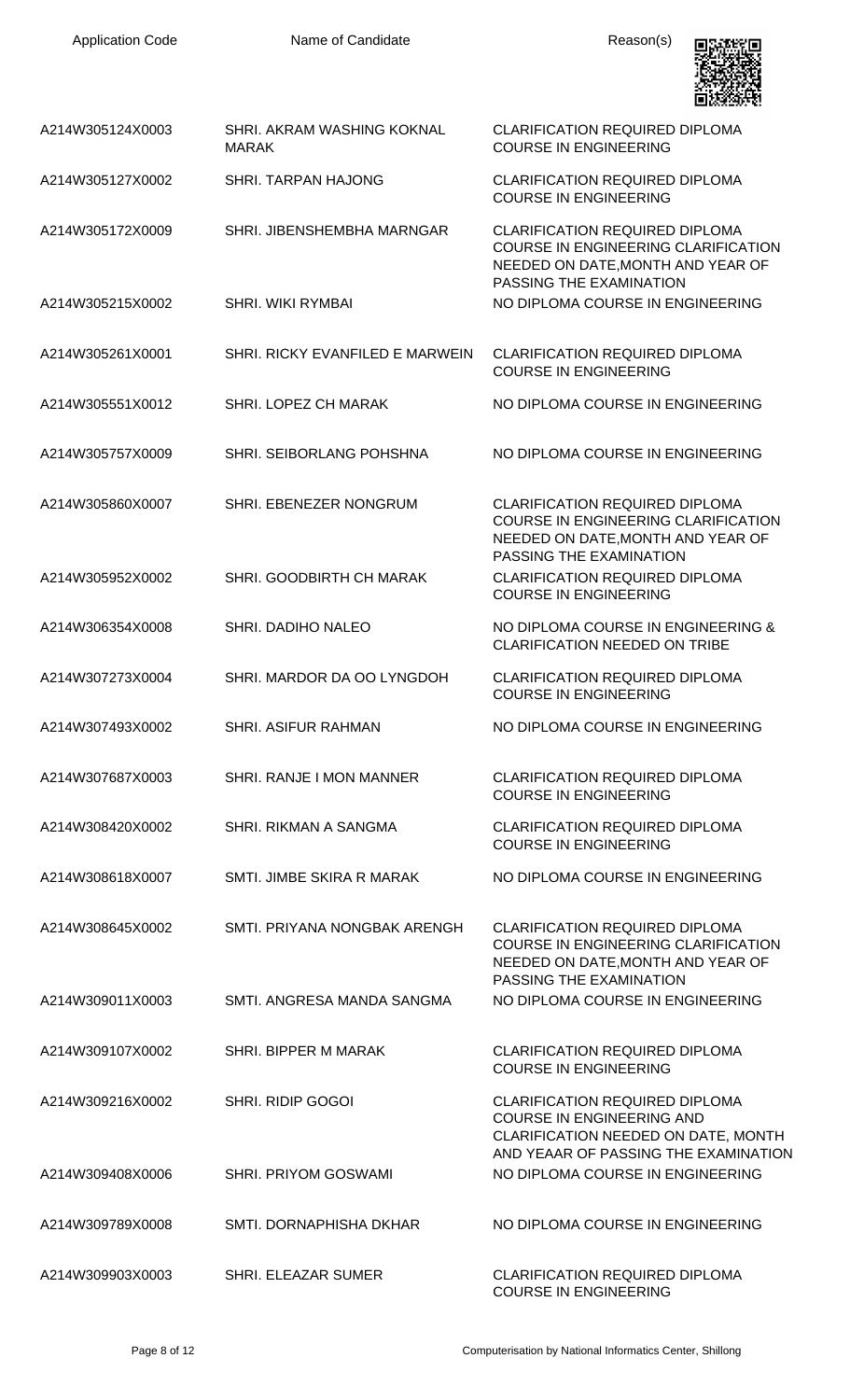| <b>Application Code</b> | Name of Candidate                          | Reason(s)                                                                                                                                                |
|-------------------------|--------------------------------------------|----------------------------------------------------------------------------------------------------------------------------------------------------------|
| A214W305124X0003        | SHRI. AKRAM WASHING KOKNAL<br><b>MARAK</b> | <b>CLARIFICATION REQUIRED DIPLOMA</b><br><b>COURSE IN ENGINEERING</b>                                                                                    |
| A214W305127X0002        | SHRI. TARPAN HAJONG                        | <b>CLARIFICATION REQUIRED DIPLOMA</b><br><b>COURSE IN ENGINEERING</b>                                                                                    |
| A214W305172X0009        | SHRI. JIBENSHEMBHA MARNGAR                 | <b>CLARIFICATION REQUIRED DIPLOMA</b><br>COURSE IN ENGINEERING CLARIFICATION<br>NEEDED ON DATE, MONTH AND YEAR OF<br>PASSING THE EXAMINATION             |
| A214W305215X0002        | <b>SHRI. WIKI RYMBAI</b>                   | NO DIPLOMA COURSE IN ENGINEERING                                                                                                                         |
| A214W305261X0001        | SHRI. RICKY EVANFILED E MARWEIN            | <b>CLARIFICATION REQUIRED DIPLOMA</b><br><b>COURSE IN ENGINEERING</b>                                                                                    |
| A214W305551X0012        | SHRI. LOPEZ CH MARAK                       | NO DIPLOMA COURSE IN ENGINEERING                                                                                                                         |
| A214W305757X0009        | SHRI. SEIBORLANG POHSHNA                   | NO DIPLOMA COURSE IN ENGINEERING                                                                                                                         |
| A214W305860X0007        | SHRI. EBENEZER NONGRUM                     | <b>CLARIFICATION REQUIRED DIPLOMA</b><br>COURSE IN ENGINEERING CLARIFICATION<br>NEEDED ON DATE, MONTH AND YEAR OF<br>PASSING THE EXAMINATION             |
| A214W305952X0002        | SHRI. GOODBIRTH CH MARAK                   | <b>CLARIFICATION REQUIRED DIPLOMA</b><br><b>COURSE IN ENGINEERING</b>                                                                                    |
| A214W306354X0008        | SHRI. DADIHO NALEO                         | NO DIPLOMA COURSE IN ENGINEERING &<br><b>CLARIFICATION NEEDED ON TRIBE</b>                                                                               |
| A214W307273X0004        | SHRI. MARDOR DA OO LYNGDOH                 | <b>CLARIFICATION REQUIRED DIPLOMA</b><br><b>COURSE IN ENGINEERING</b>                                                                                    |
| A214W307493X0002        | <b>SHRI. ASIFUR RAHMAN</b>                 | NO DIPLOMA COURSE IN ENGINEERING                                                                                                                         |
| A214W307687X0003        | SHRI, RANJE I MON MANNER                   | <b>CLARIFICATION REQUIRED DIPLOMA</b><br><b>COURSE IN ENGINEERING</b>                                                                                    |
| A214W308420X0002        | SHRI. RIKMAN A SANGMA                      | <b>CLARIFICATION REQUIRED DIPLOMA</b><br><b>COURSE IN ENGINEERING</b>                                                                                    |
| A214W308618X0007        | SMTI. JIMBE SKIRA R MARAK                  | NO DIPLOMA COURSE IN ENGINEERING                                                                                                                         |
| A214W308645X0002        | SMTI. PRIYANA NONGBAK ARENGH               | <b>CLARIFICATION REQUIRED DIPLOMA</b><br><b>COURSE IN ENGINEERING CLARIFICATION</b><br>NEEDED ON DATE, MONTH AND YEAR OF<br>PASSING THE EXAMINATION      |
| A214W309011X0003        | SMTI. ANGRESA MANDA SANGMA                 | NO DIPLOMA COURSE IN ENGINEERING                                                                                                                         |
| A214W309107X0002        | SHRI. BIPPER M MARAK                       | <b>CLARIFICATION REQUIRED DIPLOMA</b><br><b>COURSE IN ENGINEERING</b>                                                                                    |
| A214W309216X0002        | <b>SHRI. RIDIP GOGOI</b>                   | <b>CLARIFICATION REQUIRED DIPLOMA</b><br><b>COURSE IN ENGINEERING AND</b><br>CLARIFICATION NEEDED ON DATE, MONTH<br>AND YEAAR OF PASSING THE EXAMINATION |
| A214W309408X0006        | <b>SHRI. PRIYOM GOSWAMI</b>                | NO DIPLOMA COURSE IN ENGINEERING                                                                                                                         |
| A214W309789X0008        | SMTI. DORNAPHISHA DKHAR                    | NO DIPLOMA COURSE IN ENGINEERING                                                                                                                         |
| A214W309903X0003        | <b>SHRI. ELEAZAR SUMER</b>                 | <b>CLARIFICATION REQUIRED DIPLOMA</b><br><b>COURSE IN ENGINEERING</b>                                                                                    |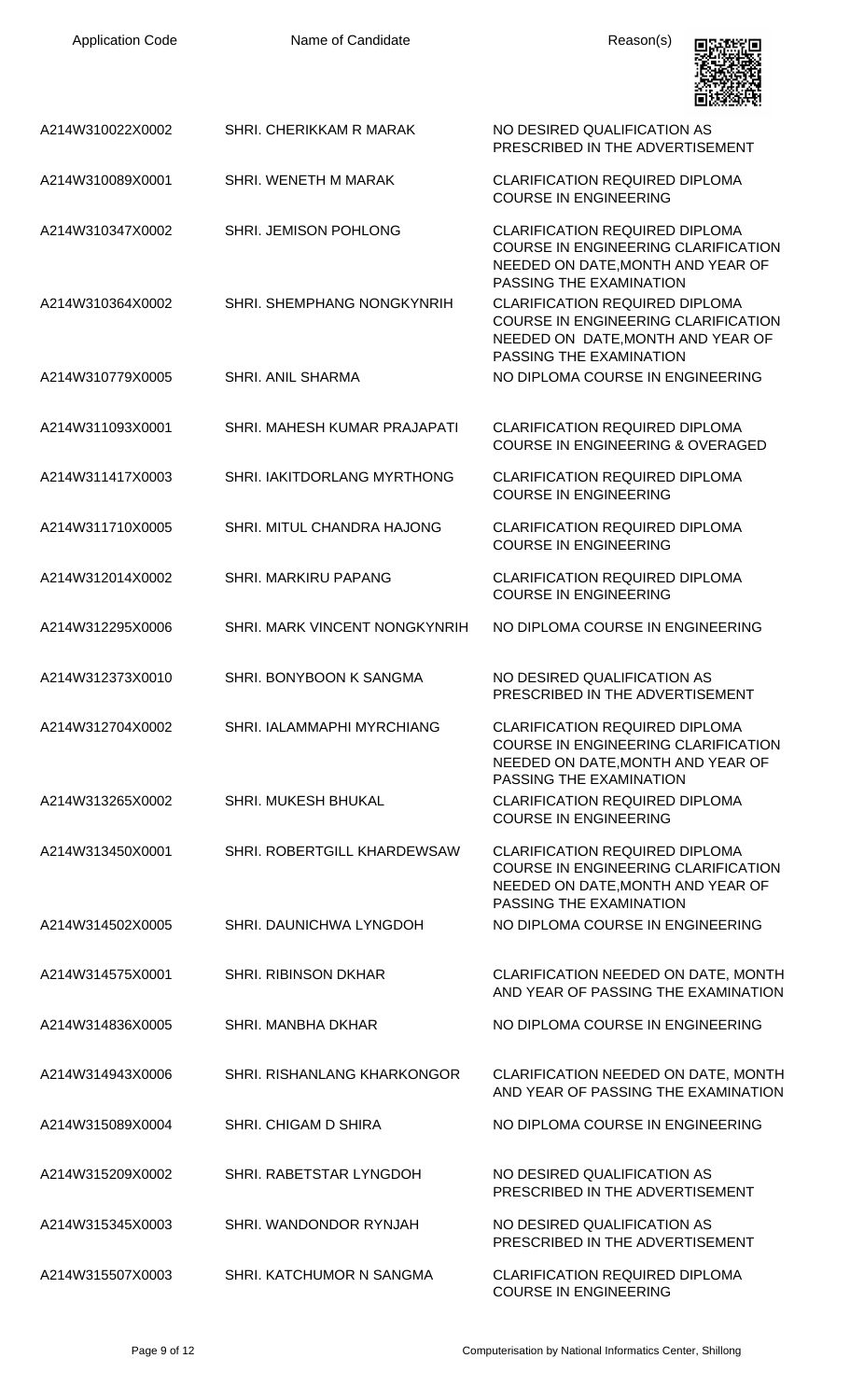| <b>Application Code</b> | Name of Candidate                  | Reason(s)                                                                                                                                    |
|-------------------------|------------------------------------|----------------------------------------------------------------------------------------------------------------------------------------------|
| A214W310022X0002        | SHRI, CHERIKKAM R MARAK            | NO DESIRED QUALIFICATION AS<br>PRESCRIBED IN THE ADVERTISEMENT                                                                               |
| A214W310089X0001        | SHRI. WENETH M MARAK               | <b>CLARIFICATION REQUIRED DIPLOMA</b><br><b>COURSE IN ENGINEERING</b>                                                                        |
| A214W310347X0002        | SHRI. JEMISON POHLONG              | <b>CLARIFICATION REQUIRED DIPLOMA</b><br>COURSE IN ENGINEERING CLARIFICATION<br>NEEDED ON DATE, MONTH AND YEAR OF<br>PASSING THE EXAMINATION |
| A214W310364X0002        | SHRI. SHEMPHANG NONGKYNRIH         | <b>CLARIFICATION REQUIRED DIPLOMA</b><br>COURSE IN ENGINEERING CLARIFICATION<br>NEEDED ON DATE, MONTH AND YEAR OF<br>PASSING THE EXAMINATION |
| A214W310779X0005        | <b>SHRI. ANIL SHARMA</b>           | NO DIPLOMA COURSE IN ENGINEERING                                                                                                             |
| A214W311093X0001        | SHRI. MAHESH KUMAR PRAJAPATI       | <b>CLARIFICATION REQUIRED DIPLOMA</b><br><b>COURSE IN ENGINEERING &amp; OVERAGED</b>                                                         |
| A214W311417X0003        | SHRI. IAKITDORLANG MYRTHONG        | <b>CLARIFICATION REQUIRED DIPLOMA</b><br><b>COURSE IN ENGINEERING</b>                                                                        |
| A214W311710X0005        | SHRI. MITUL CHANDRA HAJONG         | <b>CLARIFICATION REQUIRED DIPLOMA</b><br><b>COURSE IN ENGINEERING</b>                                                                        |
| A214W312014X0002        | SHRI. MARKIRU PAPANG               | <b>CLARIFICATION REQUIRED DIPLOMA</b><br><b>COURSE IN ENGINEERING</b>                                                                        |
| A214W312295X0006        | SHRI. MARK VINCENT NONGKYNRIH      | NO DIPLOMA COURSE IN ENGINEERING                                                                                                             |
| A214W312373X0010        | SHRI. BONYBOON K SANGMA            | NO DESIRED QUALIFICATION AS<br>PRESCRIBED IN THE ADVERTISEMENT                                                                               |
| A214W312704X0002        | SHRI. IALAMMAPHI MYRCHIANG         | <b>CLARIFICATION REQUIRED DIPLOMA</b><br>COURSE IN ENGINEERING CLARIFICATION<br>NEEDED ON DATE, MONTH AND YEAR OF<br>PASSING THE EXAMINATION |
| A214W313265X0002        | <b>SHRI. MUKESH BHUKAL</b>         | <b>CLARIFICATION REQUIRED DIPLOMA</b><br><b>COURSE IN ENGINEERING</b>                                                                        |
| A214W313450X0001        | SHRI. ROBERTGILL KHARDEWSAW        | <b>CLARIFICATION REQUIRED DIPLOMA</b><br>COURSE IN ENGINEERING CLARIFICATION<br>NEEDED ON DATE, MONTH AND YEAR OF<br>PASSING THE EXAMINATION |
| A214W314502X0005        | SHRI, DAUNICHWA LYNGDOH            | NO DIPLOMA COURSE IN ENGINEERING                                                                                                             |
| A214W314575X0001        | <b>SHRI. RIBINSON DKHAR</b>        | CLARIFICATION NEEDED ON DATE, MONTH<br>AND YEAR OF PASSING THE EXAMINATION                                                                   |
| A214W314836X0005        | SHRI. MANBHA DKHAR                 | NO DIPLOMA COURSE IN ENGINEERING                                                                                                             |
| A214W314943X0006        | <b>SHRI, RISHANLANG KHARKONGOR</b> | CLARIFICATION NEEDED ON DATE, MONTH<br>AND YEAR OF PASSING THE EXAMINATION                                                                   |
| A214W315089X0004        | <b>SHRI. CHIGAM D SHIRA</b>        | NO DIPLOMA COURSE IN ENGINEERING                                                                                                             |
| A214W315209X0002        | SHRI. RABETSTAR LYNGDOH            | NO DESIRED QUALIFICATION AS<br>PRESCRIBED IN THE ADVERTISEMENT                                                                               |
| A214W315345X0003        | SHRI. WANDONDOR RYNJAH             | NO DESIRED QUALIFICATION AS<br>PRESCRIBED IN THE ADVERTISEMENT                                                                               |
| A214W315507X0003        | SHRI. KATCHUMOR N SANGMA           | <b>CLARIFICATION REQUIRED DIPLOMA</b><br><b>COURSE IN ENGINEERING</b>                                                                        |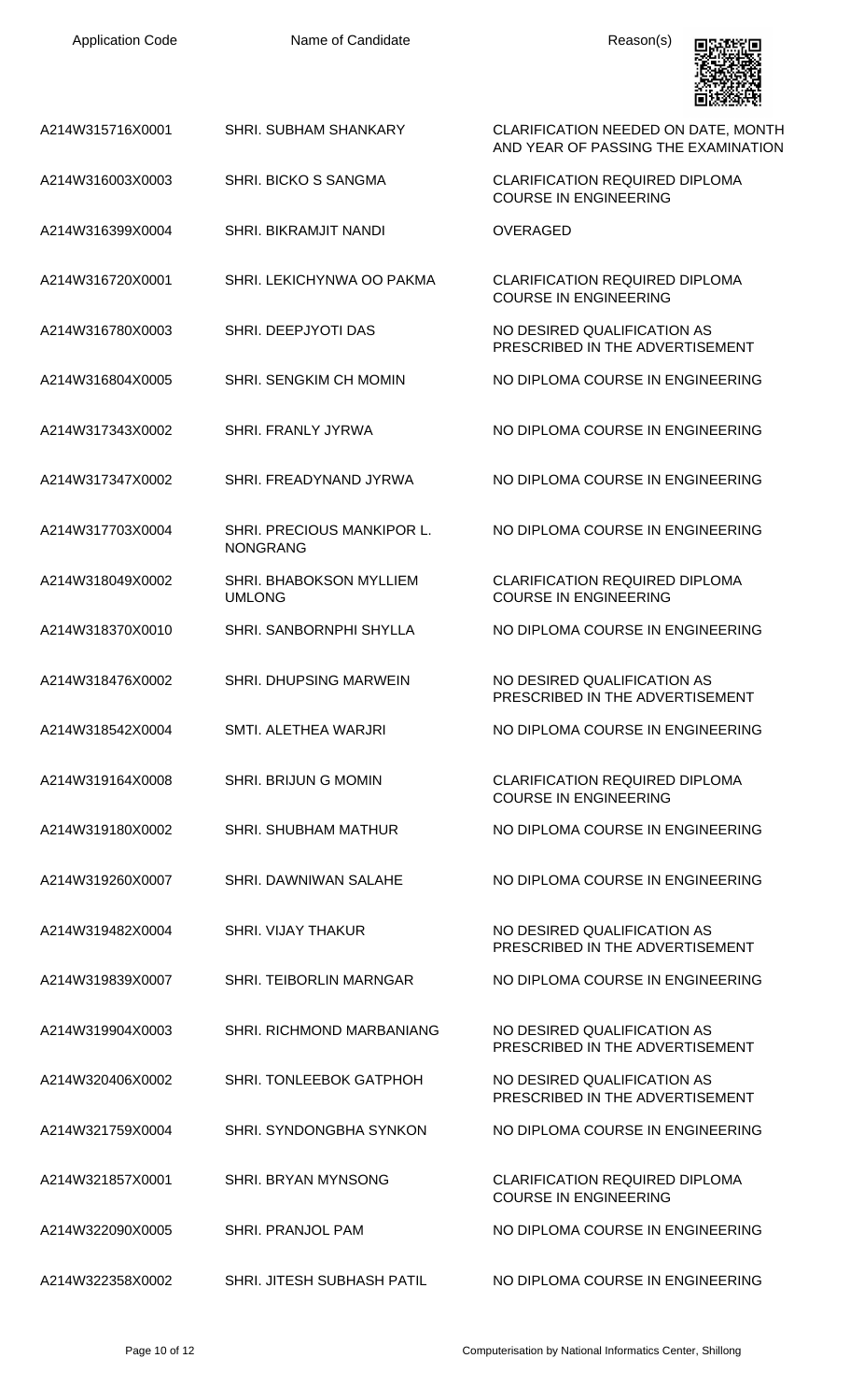| <b>Application Code</b> | Name of Candidate                               | Reason(s)                                                                  |
|-------------------------|-------------------------------------------------|----------------------------------------------------------------------------|
| A214W315716X0001        | <b>SHRI. SUBHAM SHANKARY</b>                    | CLARIFICATION NEEDED ON DATE, MONTH<br>AND YEAR OF PASSING THE EXAMINATION |
| A214W316003X0003        | <b>SHRI, BICKO S SANGMA</b>                     | <b>CLARIFICATION REQUIRED DIPLOMA</b><br><b>COURSE IN ENGINEERING</b>      |
| A214W316399X0004        | <b>SHRI. BIKRAMJIT NANDI</b>                    | <b>OVERAGED</b>                                                            |
| A214W316720X0001        | SHRI. LEKICHYNWA OO PAKMA                       | <b>CLARIFICATION REQUIRED DIPLOMA</b><br><b>COURSE IN ENGINEERING</b>      |
| A214W316780X0003        | SHRI. DEEPJYOTI DAS                             | NO DESIRED QUALIFICATION AS<br>PRESCRIBED IN THE ADVERTISEMENT             |
| A214W316804X0005        | SHRI. SENGKIM CH MOMIN                          | NO DIPLOMA COURSE IN ENGINEERING                                           |
| A214W317343X0002        | <b>SHRI. FRANLY JYRWA</b>                       | NO DIPLOMA COURSE IN ENGINEERING                                           |
| A214W317347X0002        | SHRI. FREADYNAND JYRWA                          | NO DIPLOMA COURSE IN ENGINEERING                                           |
| A214W317703X0004        | SHRI. PRECIOUS MANKIPOR L.<br><b>NONGRANG</b>   | NO DIPLOMA COURSE IN ENGINEERING                                           |
| A214W318049X0002        | <b>SHRI. BHABOKSON MYLLIEM</b><br><b>UMLONG</b> | <b>CLARIFICATION REQUIRED DIPLOMA</b><br><b>COURSE IN ENGINEERING</b>      |
| A214W318370X0010        | SHRI, SANBORNPHI SHYLLA                         | NO DIPLOMA COURSE IN ENGINEERING                                           |
| A214W318476X0002        | <b>SHRI. DHUPSING MARWEIN</b>                   | NO DESIRED QUALIFICATION AS<br>PRESCRIBED IN THE ADVERTISEMENT             |
| A214W318542X0004        | SMTI. ALETHEA WARJRI                            | NO DIPLOMA COURSE IN ENGINEERING                                           |
| A214W319164X0008        | SHRI. BRIJUN G MOMIN                            | <b>CLARIFICATION REQUIRED DIPLOMA</b><br><b>COURSE IN ENGINEERING</b>      |
| A214W319180X0002        | SHRI, SHUBHAM MATHUR                            | NO DIPLOMA COURSE IN ENGINEERING                                           |
| A214W319260X0007        | SHRI. DAWNIWAN SALAHE                           | NO DIPLOMA COURSE IN ENGINEERING                                           |
| A214W319482X0004        | <b>SHRI. VIJAY THAKUR</b>                       | NO DESIRED QUALIFICATION AS<br>PRESCRIBED IN THE ADVERTISEMENT             |
| A214W319839X0007        | <b>SHRI. TEIBORLIN MARNGAR</b>                  | NO DIPLOMA COURSE IN ENGINEERING                                           |
| A214W319904X0003        | SHRI. RICHMOND MARBANIANG                       | NO DESIRED QUALIFICATION AS<br>PRESCRIBED IN THE ADVERTISEMENT             |
| A214W320406X0002        | <b>SHRI. TONLEEBOK GATPHOH</b>                  | NO DESIRED QUALIFICATION AS<br>PRESCRIBED IN THE ADVERTISEMENT             |
| A214W321759X0004        | SHRI. SYNDONGBHA SYNKON                         | NO DIPLOMA COURSE IN ENGINEERING                                           |
| A214W321857X0001        | SHRI. BRYAN MYNSONG                             | <b>CLARIFICATION REQUIRED DIPLOMA</b><br><b>COURSE IN ENGINEERING</b>      |
| A214W322090X0005        | SHRI. PRANJOL PAM                               | NO DIPLOMA COURSE IN ENGINEERING                                           |
| A214W322358X0002        | SHRI. JITESH SUBHASH PATIL                      | NO DIPLOMA COURSE IN ENGINEERING                                           |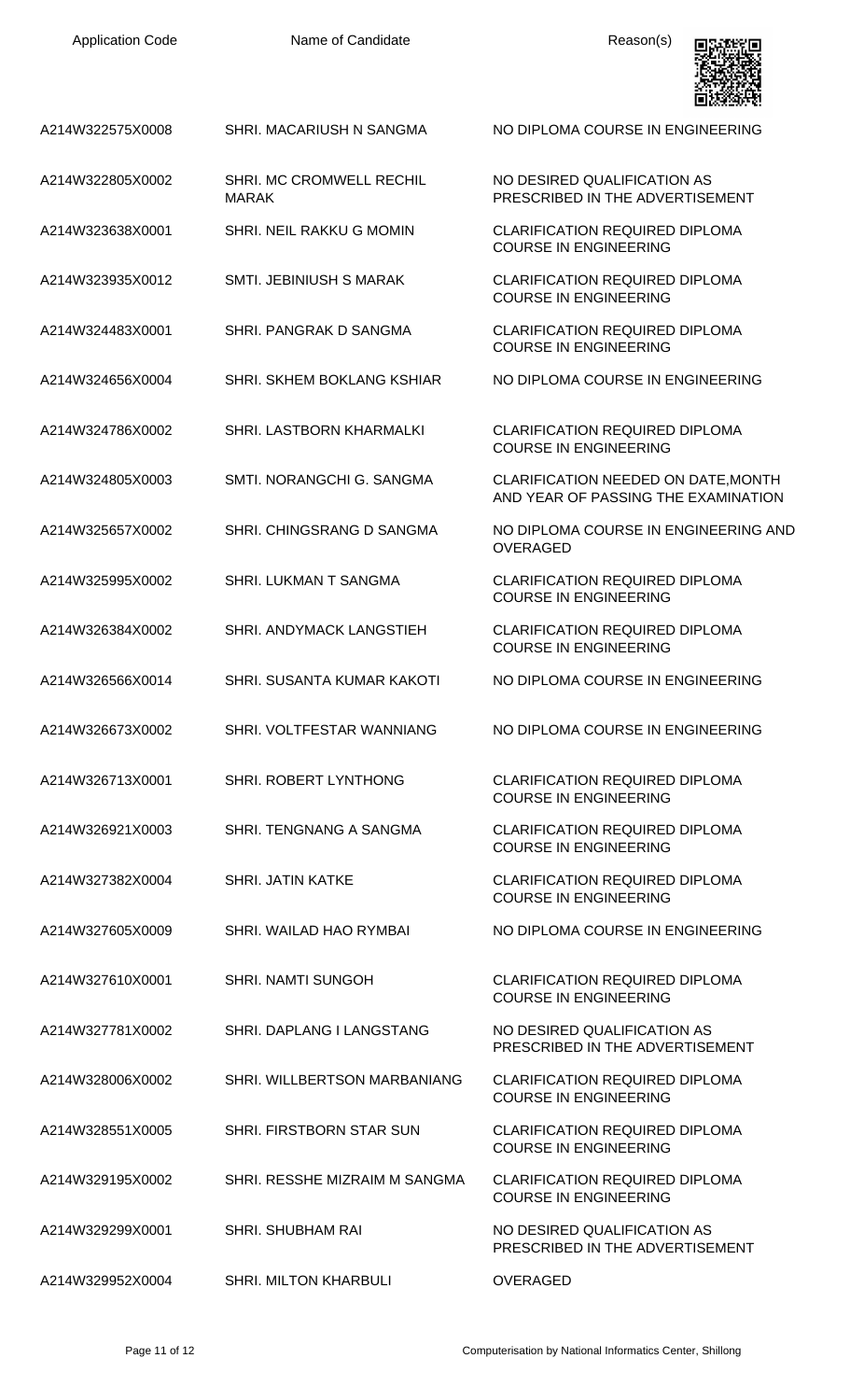NO DESIRED QUALIFICATION AS PRESCRIBED IN THE ADVERTISEMENT

COURSE IN ENGINEERING

COURSE IN ENGINEERING

COURSE IN ENGINEERING

COURSE IN ENGINEERING

COURSE IN ENGINEERING

COURSE IN ENGINEERING

COURSE IN ENGINEERING

COURSE IN ENGINEERING

COURSE IN ENGINEERING

COURSE IN ENGINEERING

COURSE IN ENGINEERING

COURSE IN ENGINEERING

COURSE IN ENGINEERING

PRESCRIBED IN THE ADVERTISEMENT

PRESCRIBED IN THE ADVERTISEMENT

OVERAGED

AND YEAR OF PASSING THE EXAMINATION



A214W322575X0008 SHRI. MACARIUSH N SANGMA NO DIPLOMA COURSE IN ENGINEERING

- A214W322805X0002 SHRI. MC CROMWELL RECHIL MARAK
- A214W323638X0001 SHRI. NEIL RAKKU G MOMIN CLARIFICATION REQUIRED DIPLOMA
- A214W323935X0012 SMTI. JEBINIUSH S MARAK CLARIFICATION REQUIRED DIPLOMA
- A214W324483X0001 SHRI. PANGRAK D SANGMA CLARIFICATION REQUIRED DIPLOMA
- A214W324656X0004 SHRI. SKHEM BOKLANG KSHIAR NO DIPLOMA COURSE IN ENGINEERING
- A214W324786X0002 SHRI. LASTBORN KHARMALKI CLARIFICATION REQUIRED DIPLOMA
- A214W324805X0003 SMTI. NORANGCHI G. SANGMA CLARIFICATION NEEDED ON DATE,MONTH
- A214W325657X0002 SHRI. CHINGSRANG D SANGMA NO DIPLOMA COURSE IN ENGINEERING AND
- A214W325995X0002 SHRI. LUKMAN T SANGMA CLARIFICATION REQUIRED DIPLOMA
- A214W326384X0002 SHRI. ANDYMACK LANGSTIEH CLARIFICATION REQUIRED DIPLOMA
- A214W326566X0014 SHRI. SUSANTA KUMAR KAKOTI NO DIPLOMA COURSE IN ENGINEERING
- A214W326673X0002 SHRI. VOLTFESTAR WANNIANG NO DIPLOMA COURSE IN ENGINEERING
- A214W326713X0001 SHRI. ROBERT LYNTHONG CLARIFICATION REQUIRED DIPLOMA
- A214W326921X0003 SHRI. TENGNANG A SANGMA CLARIFICATION REQUIRED DIPLOMA
- A214W327382X0004 SHRI. JATIN KATKE CLARIFICATION REQUIRED DIPLOMA
- A214W327605X0009 SHRI. WAILAD HAO RYMBAI NO DIPLOMA COURSE IN ENGINEERING
- A214W327610X0001 SHRI. NAMTI SUNGOH CLARIFICATION REQUIRED DIPLOMA
- A214W327781X0002 SHRI. DAPLANG I LANGSTANG NO DESIRED QUALIFICATION AS
- A214W328006X0002 SHRI. WILLBERTSON MARBANIANG CLARIFICATION REQUIRED DIPLOMA
- A214W328551X0005 SHRI. FIRSTBORN STAR SUN CLARIFICATION REQUIRED DIPLOMA
- A214W329195X0002 SHRI. RESSHE MIZRAIM M SANGMA CLARIFICATION REQUIRED DIPLOMA
- A214W329299X0001 SHRI. SHUBHAM RAI NO DESIRED QUALIFICATION AS
- A214W329952X0004 SHRI. MILTON KHARBULI OVERAGED